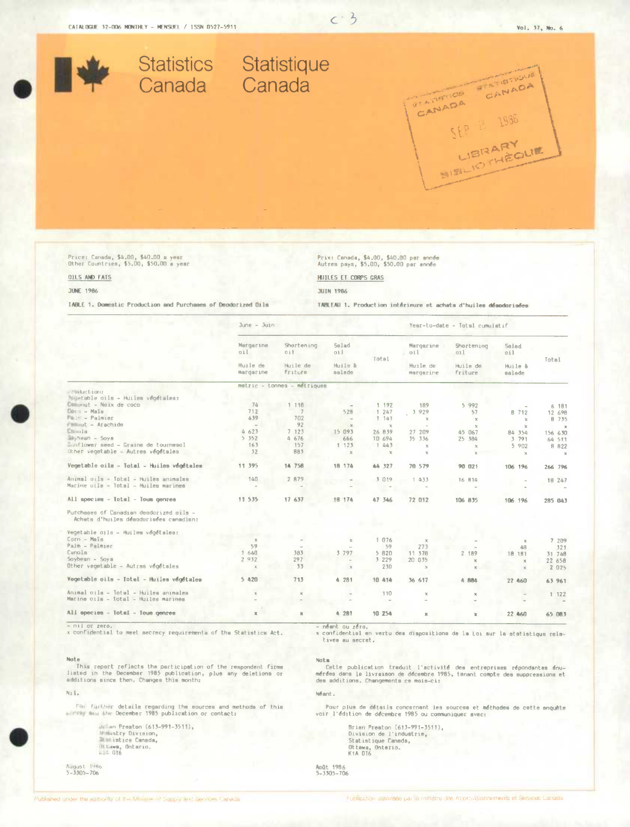

 $c - 3$ 

Price: Canada, \$4,00, \$40.00 a yest<br>Other Countries, \$5,00, \$50,00 a year

# Prix: Canada, \$4.00, \$40.00 par année<br>Autres pays, \$5.00, \$50.00 par année

**JUIN 1986** 

**HUILES ET CORPS GRAS** 

# OILS AND FATS **JUNE 1986**

**IABLE 1. Domestic Production and Purchases of Deodorized Dils** 

TABLEAU 1. Production intérieure et achata d'huiles désadorisées

|                                                                                   | $June - Juni$         |                             |                                       |              | Year-to-date - Totsl cumulatif |                     |                       |               |
|-----------------------------------------------------------------------------------|-----------------------|-----------------------------|---------------------------------------|--------------|--------------------------------|---------------------|-----------------------|---------------|
|                                                                                   | Margarine<br>oil      | Shortening<br>oił.          | Salad<br>aii                          |              | Margarine<br>oil               | Shortening<br>oil   | Salad<br>oil          |               |
|                                                                                   | Huile de<br>margarine | Huile de<br>friture         | Huile à<br>salade                     | Total        | Huile de<br>margarine          | Huile de<br>friture | Huile à<br>salade     | Total         |
|                                                                                   |                       | metric - tonnes - métriques |                                       |              |                                |                     |                       |               |
| " aduction:<br>Wegetable oils - Huiles vegetales:                                 |                       |                             |                                       |              |                                |                     |                       |               |
| Clinomat - Noix de coco                                                           | 74                    | 1 118                       |                                       | 1 192        |                                |                     |                       |               |
| Dann - Mals                                                                       | 712                   | $\overline{7}$              |                                       | 1.247        | 189                            | 5 9 9 2             |                       | 6 181         |
| Pain - Palmier                                                                    | A39                   | 702                         | 528                                   | 1 141        | 3 9 2 9                        | 57                  | 8 712                 | 12 698        |
| Missut - Arachide                                                                 | $\sim$                | 92                          | $\sim$                                |              | $\chi$                         | $\chi$              | $\mathbf{x}$          | <b>B</b> 735  |
| Chinalla                                                                          | 4 623                 | 7 123                       | $\times$                              | $\mathbf x$  |                                | $\mathbf{x}$        | $\boldsymbol{\times}$ | $\mathbbm{X}$ |
| Saybean - Soya                                                                    | 5.352                 | 4676                        | 15 093                                | 26 839       | 27 209                         | 45 067              | 84 354                | 156 630       |
| Sunflower seed - Graine de tournesol                                              | 163                   | 157                         | 666                                   | 10 694       | 35 336                         | 25 384              | 3 791                 | 64 511        |
| Other vegetable - Autres vegetales                                                |                       | 883                         | 1 123                                 | 1.443        | $\chi$                         |                     | 5 9 0 2               | 8 822         |
|                                                                                   | 32                    |                             | $\times$                              | $\mathbb{X}$ | $\mathbb{R}$                   | $\mathcal{H}$       | $\times$              | $\mathbb{R}$  |
| Vegetable oils - Total - Huiles végétales                                         | 11 395                | 14 758                      | 18 174                                | 44 327       | 70 579                         | 90 021              | 106 196               | 266 796       |
| Animal oils - Total - Huiles animalas                                             | 140                   | 2 879                       |                                       | 3 019        | 1.433                          | 16 814              |                       | 18 247        |
| Marine uils - Total - Huiles marines                                              |                       |                             |                                       |              |                                |                     |                       |               |
| All species - Total - Tous genres                                                 | 11 535                | 17 637                      | 18 174                                | 47 346       | 72 012                         | 106 835             | 106 196               | 285 043       |
| Purcheaes of Canadian deodorized oils -<br>Achata d'huiles désodorisées canadisn: |                       |                             |                                       |              |                                |                     |                       |               |
| Vegetable oils - Huiles végétales:                                                |                       |                             |                                       |              |                                |                     |                       |               |
| Corn - Maïs                                                                       | $\times$              |                             | $\mathbb{X}$                          | 1 076        | $\boldsymbol{\chi}$            |                     | $\mathbf{x}$          | 7 209         |
| Palm - Palmier                                                                    | 59                    |                             |                                       | 59           | 273                            |                     | 4B                    | 321           |
| Canola                                                                            | 1 640                 | 383                         | 3 7 9 7                               | 5 8 2 0      | 11 378                         | 2 189               | 18 181                | 31 748        |
| Soybean - Soya                                                                    | 2 9 3 2               | 297                         | $\sim$                                | 3 2 2 9      | 20 035                         | ×                   | $\times$              | 22 658        |
| Other vegetable - Autras végétales                                                | $\mathbbm{K}$         | 33                          | $\times$                              | 230          | $\mathbf{x}$                   | $\mathcal{H}$       | $\times$              | 2 0 2 5       |
| Vegetable oils - Totel - Huiles vegetales                                         | 5.420                 | 713                         | 4 281                                 | 10 414       | 36 617                         | 4 884               | 22 460                | 63 961        |
| Animal gils - Totel - Huilea animales                                             |                       |                             |                                       | 110          | $\chi$                         | $\times$            |                       | 1 122         |
| Marine oils - Iotal - Huiles marines                                              |                       |                             |                                       |              |                                |                     |                       |               |
| All species - Total - Tous genres                                                 | $\mathbbm{K}$         | ×                           | 4 281                                 | 10 254       | $\mathbbm{K}$                  | x                   | 22 460                | 65 083        |
| - pil er zaro                                                                     |                       |                             | and the company of the company of the |              |                                |                     |                       |               |

x confidential to meet secrecy requirements of the Statistics Act.

### Note

This report reflects the participation of the respondent firms<br>listed in the December 1985 publication, plus any deletions or<br>additions since then, Changes this month:

#### Nil.

Fair further details regarding the sources and methods of this survey may the December 1985 publication or contact:

Brian Preaton (613-991-3511). Contactry Division,<br>Contactry Division,<br>Contact Canada,<br>Contact Official Office

August 1986<br>5-3305-706

x confidential en vertu des dispositions de la Loi sur la statistiqua relatives au secret.

#### Nota<sub>.</sub>

vou.<br>Cette publication traduit l'activité des entreprises répondantes énu-<br>mérées dans la livraison de décembre 1985, tanant compte des suppressions et<br>des additions. Changements ce mois-cir

Néant.

Pour plus de détails concernant les sources et méthodes de cette anquête voir l'édition de décembre 1985 ou communiquer avec:

Brian Preaton (613–991–3511),<br>Division de l'industrie,<br>Statistique Canada,<br>Ottawa, Onterio.<br>K1A OT6

Anût 1986<br>5-3305-706